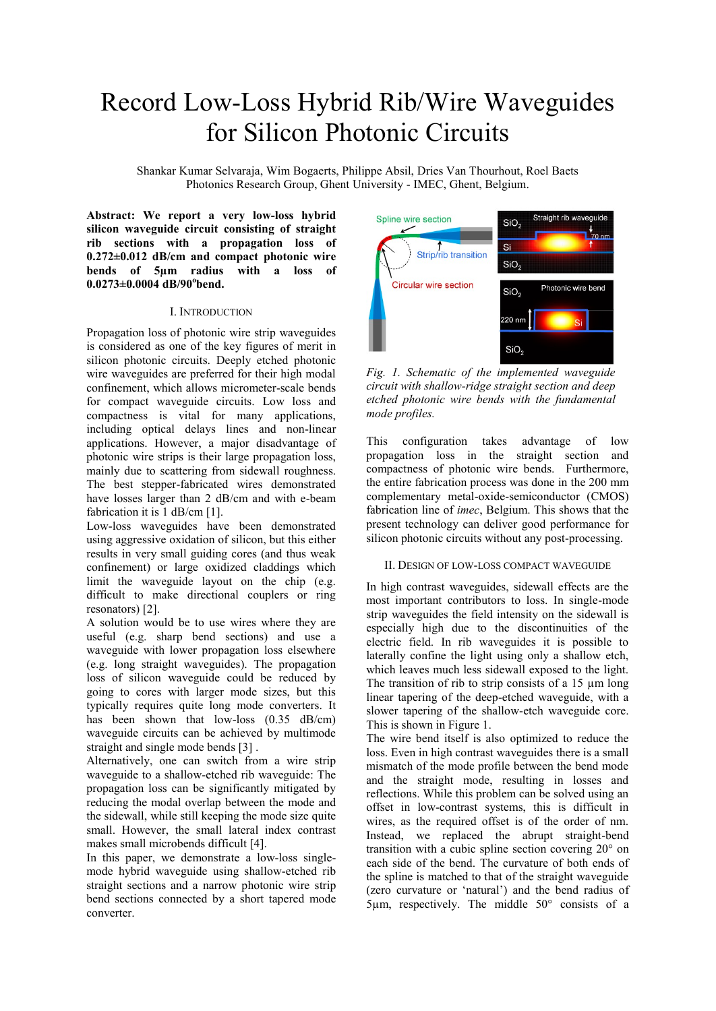# Record Low-Loss Hybrid Rib/Wire Waveguides for Silicon Photonic Circuits

Shankar Kumar Selvaraja, Wim Bogaerts, Philippe Absil, Dries Van Thourhout, Roel Baets Photonics Research Group, Ghent University - IMEC, Ghent, Belgium.

**Abstract: We report a very low-loss hybrid silicon waveguide circuit consisting of straight rib sections with a propagation loss of 0.272±0.012 dB/cm and compact photonic wire bends of 5µm radius with a loss of 0.0273±0.0004 dB/90<sup>o</sup> bend.** 

## I. INTRODUCTION

Propagation loss of photonic wire strip waveguides is considered as one of the key figures of merit in silicon photonic circuits. Deeply etched photonic wire waveguides are preferred for their high modal confinement, which allows micrometer-scale bends for compact waveguide circuits. Low loss and compactness is vital for many applications, including optical delays lines and non-linear applications. However, a major disadvantage of photonic wire strips is their large propagation loss, mainly due to scattering from sidewall roughness. The best stepper-fabricated wires demonstrated have losses larger than 2 dB/cm and with e-beam fabrication it is 1 dB/cm [1].

Low-loss waveguides have been demonstrated using aggressive oxidation of silicon, but this either results in very small guiding cores (and thus weak confinement) or large oxidized claddings which limit the waveguide layout on the chip (e.g. difficult to make directional couplers or ring resonators) [2].

A solution would be to use wires where they are useful (e.g. sharp bend sections) and use a waveguide with lower propagation loss elsewhere (e.g. long straight waveguides). The propagation loss of silicon waveguide could be reduced by going to cores with larger mode sizes, but this typically requires quite long mode converters. It has been shown that low-loss  $(0.35 \text{ dB/cm})$ waveguide circuits can be achieved by multimode straight and single mode bends [3] .

Alternatively, one can switch from a wire strip waveguide to a shallow-etched rib waveguide: The propagation loss can be significantly mitigated by reducing the modal overlap between the mode and the sidewall, while still keeping the mode size quite small. However, the small lateral index contrast makes small microbends difficult [4].

In this paper, we demonstrate a low-loss singlemode hybrid waveguide using shallow-etched rib straight sections and a narrow photonic wire strip bend sections connected by a short tapered mode converter.



*Fig. 1. Schematic of the implemented waveguide circuit with shallow-ridge straight section and deep etched photonic wire bends with the fundamental mode profiles.* 

This configuration takes advantage of low propagation loss in the straight section and compactness of photonic wire bends. Furthermore, the entire fabrication process was done in the 200 mm complementary metal-oxide-semiconductor (CMOS) fabrication line of *imec*, Belgium. This shows that the present technology can deliver good performance for silicon photonic circuits without any post-processing.

### II. DESIGN OF LOW-LOSS COMPACT WAVEGUIDE

In high contrast waveguides, sidewall effects are the most important contributors to loss. In single-mode strip waveguides the field intensity on the sidewall is especially high due to the discontinuities of the electric field. In rib waveguides it is possible to laterally confine the light using only a shallow etch, which leaves much less sidewall exposed to the light. The transition of rib to strip consists of a  $15 \mu m$  long linear tapering of the deep-etched waveguide, with a slower tapering of the shallow-etch waveguide core. This is shown in Figure 1.

The wire bend itself is also optimized to reduce the loss. Even in high contrast waveguides there is a small mismatch of the mode profile between the bend mode and the straight mode, resulting in losses and reflections. While this problem can be solved using an offset in low-contrast systems, this is difficult in wires, as the required offset is of the order of nm. Instead, we replaced the abrupt straight-bend transition with a cubic spline section covering 20° on each side of the bend. The curvature of both ends of the spline is matched to that of the straight waveguide (zero curvature or 'natural') and the bend radius of 5µm, respectively. The middle 50° consists of a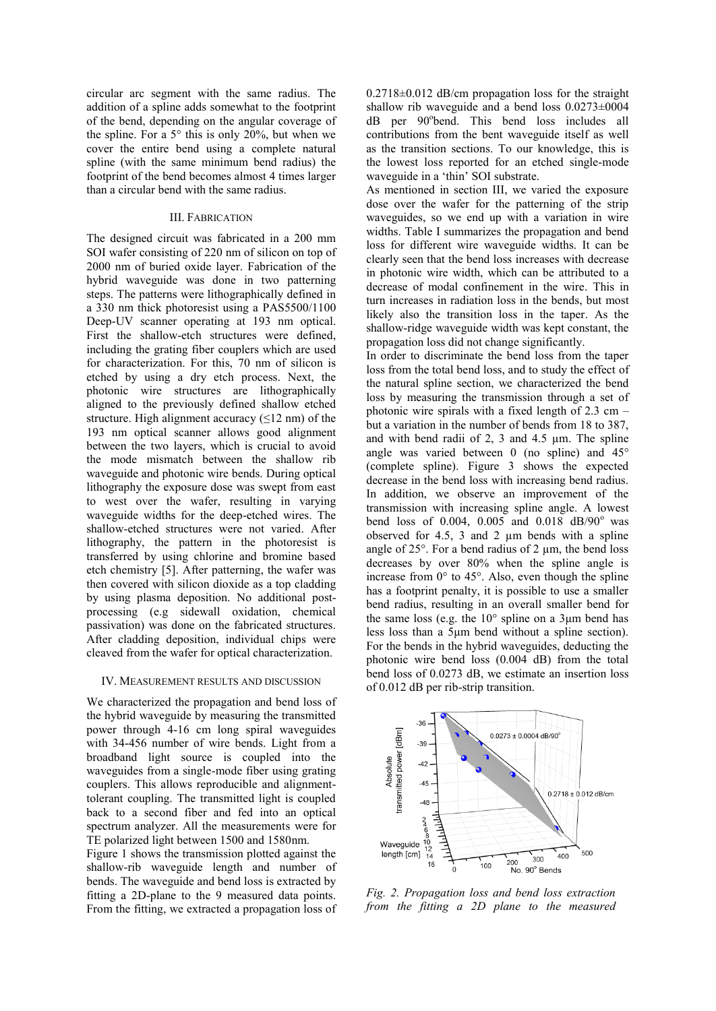circular arc segment with the same radius. The addition of a spline adds somewhat to the footprint of the bend, depending on the angular coverage of the spline. For a  $5^\circ$  this is only 20%, but when we cover the entire bend using a complete natural spline (with the same minimum bend radius) the footprint of the bend becomes almost 4 times larger than a circular bend with the same radius.

#### III. FABRICATION

The designed circuit was fabricated in a 200 mm SOI wafer consisting of 220 nm of silicon on top of 2000 nm of buried oxide layer. Fabrication of the hybrid waveguide was done in two patterning steps. The patterns were lithographically defined in a 330 nm thick photoresist using a PAS5500/1100 Deep-UV scanner operating at 193 nm optical. First the shallow-etch structures were defined, including the grating fiber couplers which are used for characterization. For this, 70 nm of silicon is etched by using a dry etch process. Next, the photonic wire structures are lithographically aligned to the previously defined shallow etched structure. High alignment accuracy  $(\leq 12 \text{ nm})$  of the 193 nm optical scanner allows good alignment between the two layers, which is crucial to avoid the mode mismatch between the shallow rib waveguide and photonic wire bends. During optical lithography the exposure dose was swept from east to west over the wafer, resulting in varying waveguide widths for the deep-etched wires. The shallow-etched structures were not varied. After lithography, the pattern in the photoresist is transferred by using chlorine and bromine based etch chemistry [5]. After patterning, the wafer was then covered with silicon dioxide as a top cladding by using plasma deposition. No additional postprocessing (e.g sidewall oxidation, chemical passivation) was done on the fabricated structures. After cladding deposition, individual chips were cleaved from the wafer for optical characterization.

#### IV. MEASUREMENT RESULTS AND DISCUSSION

We characterized the propagation and bend loss of the hybrid waveguide by measuring the transmitted power through 4-16 cm long spiral waveguides with 34-456 number of wire bends. Light from a broadband light source is coupled into the waveguides from a single-mode fiber using grating couplers. This allows reproducible and alignmenttolerant coupling. The transmitted light is coupled back to a second fiber and fed into an optical spectrum analyzer. All the measurements were for TE polarized light between 1500 and 1580nm.

Figure 1 shows the transmission plotted against the shallow-rib waveguide length and number of bends. The waveguide and bend loss is extracted by fitting a 2D-plane to the 9 measured data points. From the fitting, we extracted a propagation loss of  $0.2718 \pm 0.012$  dB/cm propagation loss for the straight shallow rib waveguide and a bend loss 0.0273±0004 dB per 90°bend. This bend loss includes all contributions from the bent waveguide itself as well as the transition sections. To our knowledge, this is the lowest loss reported for an etched single-mode waveguide in a 'thin' SOI substrate.

As mentioned in section III, we varied the exposure dose over the wafer for the patterning of the strip waveguides, so we end up with a variation in wire widths. Table I summarizes the propagation and bend loss for different wire waveguide widths. It can be clearly seen that the bend loss increases with decrease in photonic wire width, which can be attributed to a decrease of modal confinement in the wire. This in turn increases in radiation loss in the bends, but most likely also the transition loss in the taper. As the shallow-ridge waveguide width was kept constant, the propagation loss did not change significantly.

In order to discriminate the bend loss from the taper loss from the total bend loss, and to study the effect of the natural spline section, we characterized the bend loss by measuring the transmission through a set of photonic wire spirals with a fixed length of 2.3 cm – but a variation in the number of bends from 18 to 387, and with bend radii of 2, 3 and 4.5 µm. The spline angle was varied between 0 (no spline) and 45° (complete spline). Figure 3 shows the expected decrease in the bend loss with increasing bend radius. In addition, we observe an improvement of the transmission with increasing spline angle. A lowest bend loss of 0.004, 0.005 and 0.018  $dB/90^{\circ}$  was observed for 4.5, 3 and 2  $\mu$ m bends with a spline angle of  $25^\circ$ . For a bend radius of 2  $\mu$ m, the bend loss decreases by over 80% when the spline angle is increase from  $0^{\circ}$  to 45°. Also, even though the spline has a footprint penalty, it is possible to use a smaller bend radius, resulting in an overall smaller bend for the same loss (e.g. the  $10^{\circ}$  spline on a 3 $\mu$ m bend has less loss than a 5μm bend without a spline section). For the bends in the hybrid waveguides, deducting the photonic wire bend loss (0.004 dB) from the total bend loss of 0.0273 dB, we estimate an insertion loss of 0.012 dB per rib-strip transition.



*Fig. 2. Propagation loss and bend loss extraction from the fitting a 2D plane to the measured*